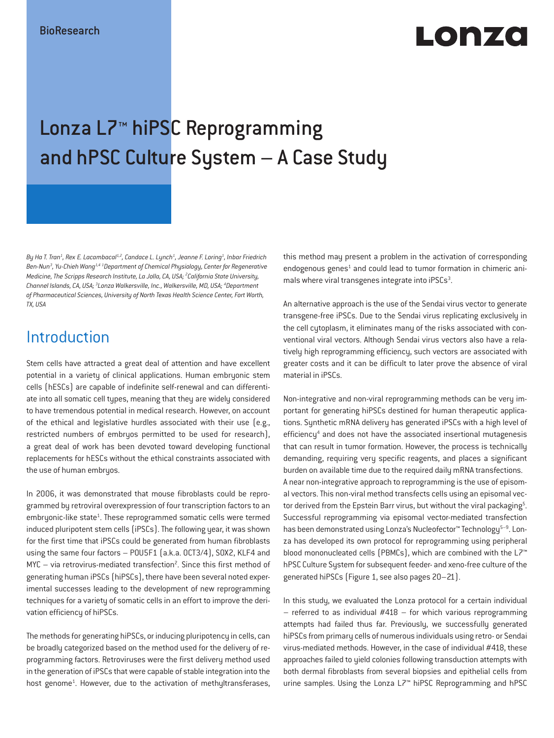# Lonzo

## Lonza L7™ hiPSC Reprogramming and hPSC Culture System – A Case Study

By Ha T. Tran<sup>1</sup>, Rex E. Lacambacal<sup>1,2</sup>, Candace L. Lynch<sup>1</sup>, Jeanne F. Loring<sup>1</sup>, Inbar Friedrich *Ben-Nun3 , Yu-Chieh Wang1,4 <sup>1</sup> Department of Chemical Physiology, Center for Regenerative Medicine, The Scripps Research Institute, La Jolla, CA, USA; 2 California State University, Channel Islands, CA, USA; 3 Lonza Walkersville, Inc., Walkersville, MD, USA; 4 Department of Pharmaceutical Sciences, University of North Texas Health Science Center, Fort Worth, TX, USA*

### **Introduction**

Stem cells have attracted a great deal of attention and have excellent potential in a variety of clinical applications. Human embryonic stem cells (hESCs) are capable of indefinite self-renewal and can differentiate into all somatic cell types, meaning that they are widely considered to have tremendous potential in medical research. However, on account of the ethical and legislative hurdles associated with their use (e.g., restricted numbers of embryos permitted to be used for research), a great deal of work has been devoted toward developing functional replacements for hESCs without the ethical constraints associated with the use of human embryos.

In 2006, it was demonstrated that mouse fibroblasts could be reprogrammed by retroviral overexpression of four transcription factors to an embryonic-like state<sup>1</sup>. These reprogrammed somatic cells were termed induced pluripotent stem cells (iPSCs). The following year, it was shown for the first time that iPSCs could be generated from human fibroblasts using the same four factors – POU5F1 (a.k.a. OCT3/4), SOX2, KLF4 and  $MYC - via retrovirus-mediated transformation<sup>2</sup>. Since this first method of$ generating human iPSCs (hiPSCs), there have been several noted experimental successes leading to the development of new reprogramming techniques for a variety of somatic cells in an effort to improve the derivation efficiency of hiPSCs.

The methods for generating hiPSCs, or inducing pluripotency in cells, can be broadly categorized based on the method used for the delivery of reprogramming factors. Retroviruses were the first delivery method used in the generation of iPSCs that were capable of stable integration into the host genome<sup>1</sup>. However, due to the activation of methyltransferases, this method may present a problem in the activation of corresponding endogenous genes<sup>1</sup> and could lead to tumor formation in chimeric animals where viral transgenes integrate into iPSCs<sup>3</sup>.

An alternative approach is the use of the Sendai virus vector to generate transgene-free iPSCs. Due to the Sendai virus replicating exclusively in the cell cytoplasm, it eliminates many of the risks associated with conventional viral vectors. Although Sendai virus vectors also have a relatively high reprogramming efficiency, such vectors are associated with greater costs and it can be difficult to later prove the absence of viral material in iPSCs.

Non-integrative and non-viral reprogramming methods can be very important for generating hiPSCs destined for human therapeutic applications. Synthetic mRNA delivery has generated iPSCs with a high level of efficiency<sup>4</sup> and does not have the associated insertional mutagenesis that can result in tumor formation. However, the process is technically demanding, requiring very specific reagents, and places a significant burden on available time due to the required daily mRNA transfections. A near non-integrative approach to reprogramming is the use of episomal vectors. This non-viral method transfects cells using an episomal vector derived from the Epstein Barr virus, but without the viral packaging<sup>5</sup>. Successful reprogramming via episomal vector-mediated transfection has been demonstrated using Lonza's Nucleofector™ Technology<sup>5-9</sup>. Lonza has developed its own protocol for reprogramming using peripheral blood mononucleated cells (PBMCs), which are combined with the L7™ hPSC Culture System for subsequent feeder- and xeno-free culture of the generated hiPSCs (Figure 1, see also pages 20–21).

In this study, we evaluated the Lonza protocol for a certain individual  $-$  referred to as individual  $#418 -$  for which various reprogramming attempts had failed thus far. Previously, we successfully generated hiPSCs from primary cells of numerous individuals using retro- or Sendai virus-mediated methods. However, in the case of individual #418, these approaches failed to yield colonies following transduction attempts with both dermal fibroblasts from several biopsies and epithelial cells from urine samples. Using the Lonza L7™ hiPSC Reprogramming and hPSC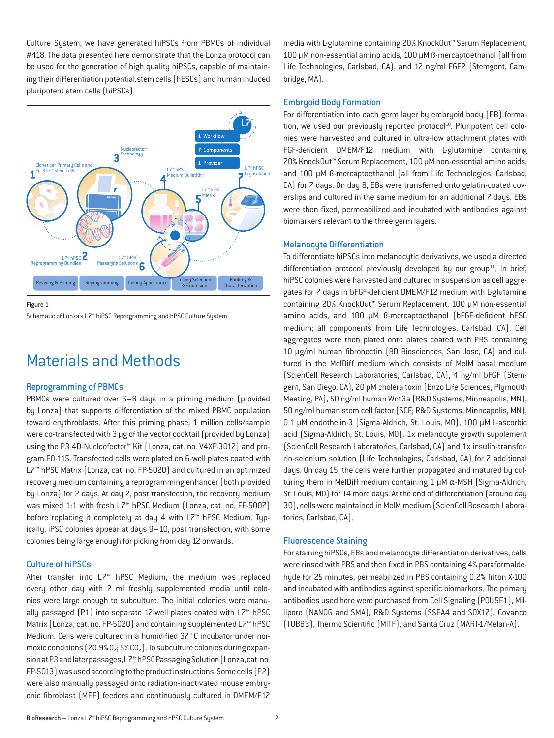Culture System, we have generated hiPSCs from PBMCs of individual #418. The data presented here demonstrate that the Lonza protocol can be used for the generation of high quality hiPSCs, capable of maintaining their differentiation potential.stem cells (hESCs) and human induced pluripotent stem cells (hiPSCs).



Figure 1

Schematic of Lonza's L7™ hiPSC Reprogramming and hPSC Culture System.

### Materials and Methods

#### Reprogramming of PBMCs

PBMCs were cultured over 6–8 days in a priming medium (provided by Lonza) that supports differentiation of the mixed PBMC population toward erythroblasts. After this priming phase, 1 million cells/sample were co-transfected with 3 µg of the vector cocktail (provided by Lonza) using the P3 4D-Nucleofector™ Kit (Lonza, cat. no. V4XP-3012) and program EO-115. Transfected cells were plated on 6-well plates coated with L7™ hPSC Matrix (Lonza, cat. no. FP-5020) and cultured in an optimized recovery medium containing a reprogramming enhancer (both provided by Lonza) for 2 days. At day 2, post transfection, the recovery medium was mixed 1:1 with fresh L7™ hPSC Medium (Lonza, cat. no. FP-5007) before replacing it completely at day 4 with L7™ hPSC Medium. Typically, iPSC colonies appear at days 9–10, post transfection, with some colonies being large enough for picking from day 12 onwards.

#### Culture of hiPSCs

After transfer into L7™ hPSC Medium, the medium was replaced every other day with 2 ml freshly supplemented media until colonies were large enough to subculture. The initial colonies were manually passaged (P1) into separate 12-well plates coated with L7™ hPSC Matrix (Lonza, cat. no. FP-5020) and containing supplemented L7™ hPSC Medium. Cells were cultured in a humidified 37 °C incubator under normoxic conditions  $(20.9\% 0_2; 5\% 0_2)$ . To subculture colonies during expansion at P3 and later passages, L7™ hPSC Passaging Solution (Lonza, cat. no. FP-5013) was used according to the product instructions. Some cells (P2) were also manually passaged onto radiation-inactivated mouse embryonic fibroblast (MEF) feeders and continuously cultured in DMEM/F12 media with L-glutamine containing 20% KnockOut™ Serum Replacement, 100 μM non-essential amino acids, 100 μM ß-mercaptoethanol (all from Life Technologies, Carlsbad, CA), and 12 ng/ml FGF2 (Stemgent, Cambridge, MA).

#### Embryoid Body Formation

For differentiation into each germ layer by embryoid body (EB) formation, we used our previously reported protocol<sup>10</sup>. Pluripotent cell colonies were harvested and cultured in ultra-low attachment plates with FGF-deficient DMEM/F12 medium with L-glutamine containing 20% KnockOut™ Serum Replacement, 100 μM non-essential amino acids, and 100 μM ß-mercaptoethanol (all from Life Technologies, Carlsbad, CA) for 7 days. On day 8, EBs were transferred onto gelatin-coated coverslips and cultured in the same medium for an additional 7 days. EBs were then fixed, permeabilized and incubated with antibodies against biomarkers relevant to the three germ layers.

#### Melanocyte Differentiation

To differentiate hiPSCs into melanocytic derivatives, we used a directed differentiation protocol previously developed by our group<sup>11</sup>. In brief, hiPSC colonies were harvested and cultured in suspension as cell aggregates for 7 days in bFGF-deficient DMEM/F12 medium with L-glutamine containing 20% KnockOut™ Serum Replacement, 100 μM non-essential amino acids, and 100 μM ß-mercaptoethanol (bFGF-deficient hESC medium; all components from Life Technologies, Carlsbad, CA). Cell aggregates were then plated onto plates coated with PBS containing 10 μg/ml human fibronectin (BD Biosciences, San Jose, CA) and cultured in the MelDiff medium which consists of MelM basal medium (ScienCell Research Laboratories, Carlsbad, CA), 4 ng/ml bFGF (Stemgent, San Diego, CA), 20 pM cholera toxin (Enzo Life Sciences, Plymouth Meeting, PA), 50 ng/ml human Wnt3a (R&D Systems, Minneapolis, MN), 50 ng/ml human stem cell factor (SCF; R&D Systems, Minneapolis, MN), 0.1 μM endothelin-3 (Sigma-Aldrich, St. Louis, MO), 100 μM L-ascorbic acid (Sigma-Aldrich, St. Louis, MO), 1x melanocyte growth supplement (ScienCell Research Laboratories, Carlsbad, CA) and 1x insulin-transferrin-selenium solution (Life Technologies, Carlsbad, CA) for 7 additional days. On day 15, the cells were further propagated and matured by culturing them in MelDiff medium containing 1 μM α-MSH (Sigma-Aldrich, St. Louis, MO) for 14 more days. At the end of differentiation (around day 30), cells were maintained in MelM medium (ScienCell Research Laboratories, Carlsbad, CA).

#### Fluorescence Staining

For staining hiPSCs, EBs and melanocyte differentiation derivatives, cells were rinsed with PBS and then fixed in PBS containing 4% paraformaldehyde for 25 minutes, permeabilized in PBS containing 0.2% Triton X-100 and incubated with antibodies against specific biomarkers. The primary antibodies used here were purchased from Cell Signaling (POU5F1), Millipore (NANOG and SMA), R&D Systems (SSEA4 and SOX17), Covance (TUBB3), Thermo Scientific (MITF), and Santa Cruz (MART-1/Melan-A).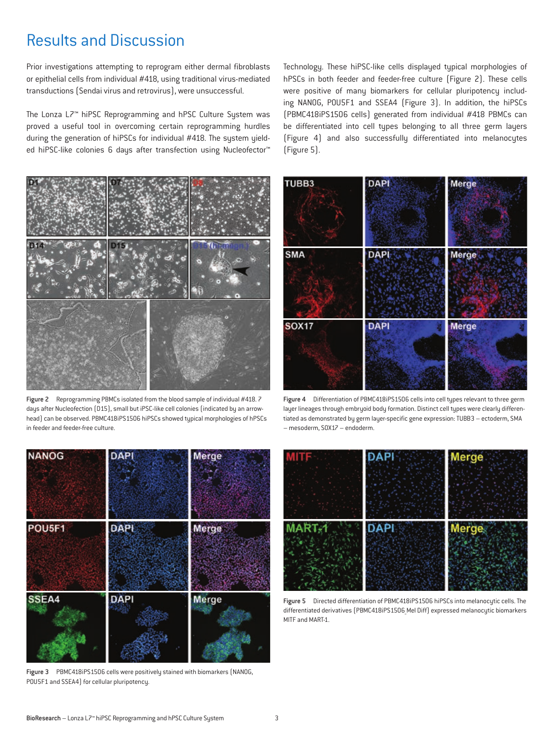### Results and Discussion

Prior investigations attempting to reprogram either dermal fibroblasts or epithelial cells from individual #418, using traditional virus-mediated transductions (Sendai virus and retrovirus), were unsuccessful.

The Lonza L7™ hiPSC Reprogramming and hPSC Culture System was proved a useful tool in overcoming certain reprogramming hurdles during the generation of hiPSCs for individual #418. The sustem yielded hiPSC-like colonies 6 days after transfection using Nucleofector<sup>™</sup>



Figure 2 Reprogramming PBMCs isolated from the blood sample of individual #418. 7 days after Nucleofection (D15), small but iPSC-like cell colonies (indicated by an arrowhead) can be observed. PBMC418iPS1506 hiPSCs showed typical morphologies of hPSCs in feeder and feeder-free culture.

Technology. These hiPSC-like cells displayed typical morphologies of hPSCs in both feeder and feeder-free culture (Figure 2). These cells were positive of many biomarkers for cellular pluripotency including NANOG, POU5F1 and SSEA4 (Figure 3). In addition, the hiPSCs (PBMC418iPS1506 cells) generated from individual #418 PBMCs can be differentiated into cell types belonging to all three germ layers (Figure 4) and also successfully differentiated into melanocytes (Figure 5).



Figure 4 Differentiation of PBMC418iPS1506 cells into cell types relevant to three germ layer lineages through embryoid body formation. Distinct cell types were clearly differentiated as demonstrated by germ layer-specific gene expression: TUBB3 – ectoderm, SMA – mesoderm, SOX17 – endoderm.



Figure 3 PBMC418iPS1506 cells were positively stained with biomarkers (NANOG, POU5F1 and SSEA4) for cellular pluripotency.



Figure 5 Directed differentiation of PBMC418iPS1506 hiPSCs into melanocytic cells. The differentiated derivatives (PBMC418iPS1506\_Mel Diff) expressed melanocytic biomarkers MITF and MART-1.